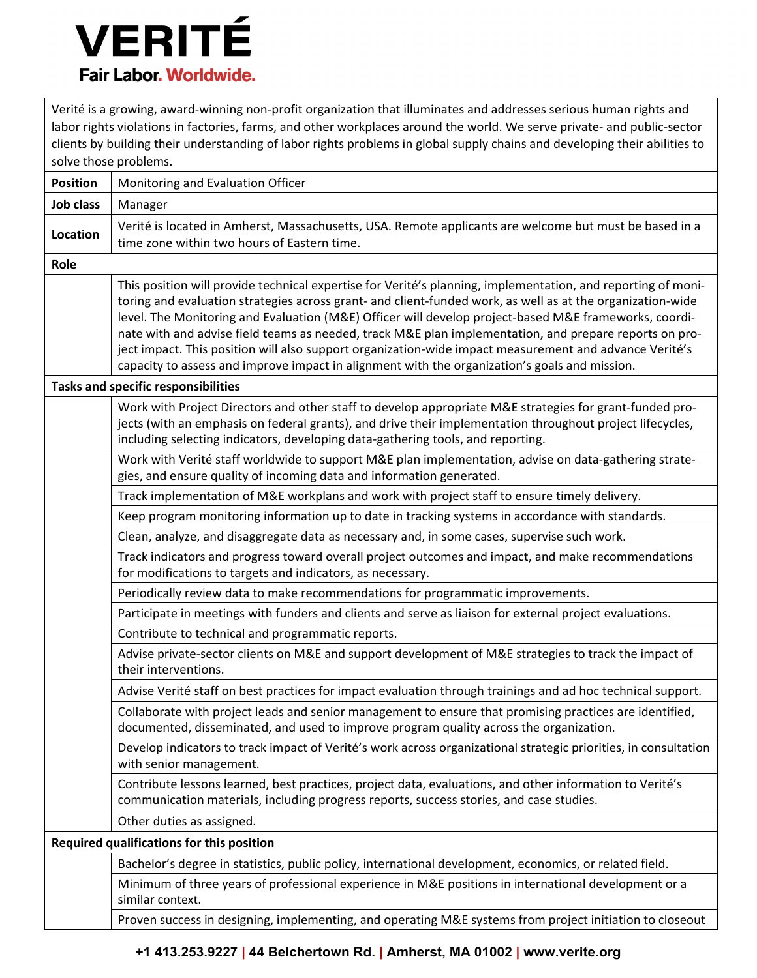## **VERITÉ Fair Labor. Worldwide.**

Verité is a growing, award-winning non-profit organization that illuminates and addresses serious human rights and labor rights violations in factories, farms, and other workplaces around the world. We serve private- and public-sector clients by building their understanding of labor rights problems in global supply chains and developing their abilities to solve those problems.

|                                            | ינווחטוע ועגטוויז אוטנ                                                                                                                                                                                                                                                                                                                                                                                                                                                                                                                                                                                                                                   |  |
|--------------------------------------------|----------------------------------------------------------------------------------------------------------------------------------------------------------------------------------------------------------------------------------------------------------------------------------------------------------------------------------------------------------------------------------------------------------------------------------------------------------------------------------------------------------------------------------------------------------------------------------------------------------------------------------------------------------|--|
| <b>Position</b>                            | Monitoring and Evaluation Officer                                                                                                                                                                                                                                                                                                                                                                                                                                                                                                                                                                                                                        |  |
| Job class                                  | Manager                                                                                                                                                                                                                                                                                                                                                                                                                                                                                                                                                                                                                                                  |  |
| Location                                   | Verité is located in Amherst, Massachusetts, USA. Remote applicants are welcome but must be based in a                                                                                                                                                                                                                                                                                                                                                                                                                                                                                                                                                   |  |
|                                            | time zone within two hours of Eastern time.                                                                                                                                                                                                                                                                                                                                                                                                                                                                                                                                                                                                              |  |
| Role                                       |                                                                                                                                                                                                                                                                                                                                                                                                                                                                                                                                                                                                                                                          |  |
|                                            | This position will provide technical expertise for Verité's planning, implementation, and reporting of moni-<br>toring and evaluation strategies across grant- and client-funded work, as well as at the organization-wide<br>level. The Monitoring and Evaluation (M&E) Officer will develop project-based M&E frameworks, coordi-<br>nate with and advise field teams as needed, track M&E plan implementation, and prepare reports on pro-<br>ject impact. This position will also support organization-wide impact measurement and advance Verité's<br>capacity to assess and improve impact in alignment with the organization's goals and mission. |  |
| <b>Tasks and specific responsibilities</b> |                                                                                                                                                                                                                                                                                                                                                                                                                                                                                                                                                                                                                                                          |  |
|                                            | Work with Project Directors and other staff to develop appropriate M&E strategies for grant-funded pro-<br>jects (with an emphasis on federal grants), and drive their implementation throughout project lifecycles,<br>including selecting indicators, developing data-gathering tools, and reporting.                                                                                                                                                                                                                                                                                                                                                  |  |
|                                            | Work with Verité staff worldwide to support M&E plan implementation, advise on data-gathering strate-<br>gies, and ensure quality of incoming data and information generated.                                                                                                                                                                                                                                                                                                                                                                                                                                                                            |  |
|                                            | Track implementation of M&E workplans and work with project staff to ensure timely delivery.                                                                                                                                                                                                                                                                                                                                                                                                                                                                                                                                                             |  |
|                                            | Keep program monitoring information up to date in tracking systems in accordance with standards.                                                                                                                                                                                                                                                                                                                                                                                                                                                                                                                                                         |  |
|                                            | Clean, analyze, and disaggregate data as necessary and, in some cases, supervise such work.                                                                                                                                                                                                                                                                                                                                                                                                                                                                                                                                                              |  |
|                                            | Track indicators and progress toward overall project outcomes and impact, and make recommendations<br>for modifications to targets and indicators, as necessary.                                                                                                                                                                                                                                                                                                                                                                                                                                                                                         |  |
|                                            | Periodically review data to make recommendations for programmatic improvements.                                                                                                                                                                                                                                                                                                                                                                                                                                                                                                                                                                          |  |
|                                            | Participate in meetings with funders and clients and serve as liaison for external project evaluations.                                                                                                                                                                                                                                                                                                                                                                                                                                                                                                                                                  |  |
|                                            | Contribute to technical and programmatic reports.                                                                                                                                                                                                                                                                                                                                                                                                                                                                                                                                                                                                        |  |
|                                            | Advise private-sector clients on M&E and support development of M&E strategies to track the impact of<br>their interventions.                                                                                                                                                                                                                                                                                                                                                                                                                                                                                                                            |  |
|                                            | Advise Verité staff on best practices for impact evaluation through trainings and ad hoc technical support.                                                                                                                                                                                                                                                                                                                                                                                                                                                                                                                                              |  |
|                                            | Collaborate with project leads and senior management to ensure that promising practices are identified,<br>documented, disseminated, and used to improve program quality across the organization.                                                                                                                                                                                                                                                                                                                                                                                                                                                        |  |
|                                            | Develop indicators to track impact of Verité's work across organizational strategic priorities, in consultation<br>with senior management.                                                                                                                                                                                                                                                                                                                                                                                                                                                                                                               |  |
|                                            | Contribute lessons learned, best practices, project data, evaluations, and other information to Verité's<br>communication materials, including progress reports, success stories, and case studies.                                                                                                                                                                                                                                                                                                                                                                                                                                                      |  |
|                                            | Other duties as assigned.                                                                                                                                                                                                                                                                                                                                                                                                                                                                                                                                                                                                                                |  |
| Required qualifications for this position  |                                                                                                                                                                                                                                                                                                                                                                                                                                                                                                                                                                                                                                                          |  |
|                                            | Bachelor's degree in statistics, public policy, international development, economics, or related field.                                                                                                                                                                                                                                                                                                                                                                                                                                                                                                                                                  |  |
|                                            | Minimum of three years of professional experience in M&E positions in international development or a<br>similar context.                                                                                                                                                                                                                                                                                                                                                                                                                                                                                                                                 |  |
|                                            | Proven success in designing, implementing, and operating M&E systems from project initiation to closeout                                                                                                                                                                                                                                                                                                                                                                                                                                                                                                                                                 |  |